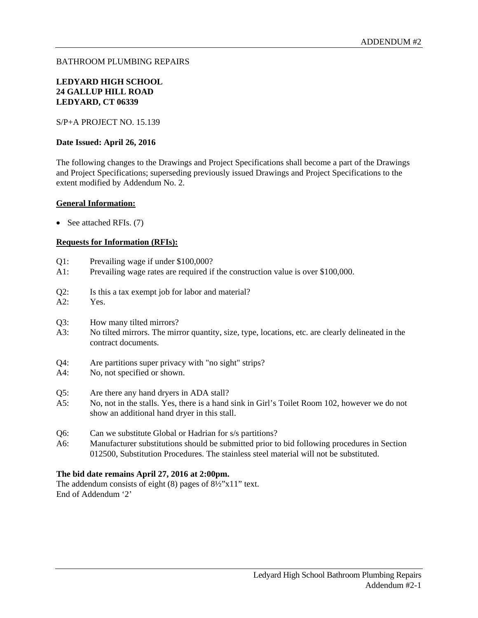#### BATHROOM PLUMBING REPAIRS

#### **LEDYARD HIGH SCHOOL 24 GALLUP HILL ROAD LEDYARD, CT 06339**

S/P+A PROJECT NO. 15.139

#### **Date Issued: April 26, 2016**

The following changes to the Drawings and Project Specifications shall become a part of the Drawings and Project Specifications; superseding previously issued Drawings and Project Specifications to the extent modified by Addendum No. 2.

#### **General Information:**

• See attached RFIs. (7)

#### **Requests for Information (RFIs):**

- Q1: Prevailing wage if under \$100,000?
- A1: Prevailing wage rates are required if the construction value is over \$100,000.
- Q2: Is this a tax exempt job for labor and material?
- A2: Yes.
- Q3: How many tilted mirrors?
- A3: No tilted mirrors. The mirror quantity, size, type, locations, etc. are clearly delineated in the contract documents.
- Q4: Are partitions super privacy with "no sight" strips?
- A4: No, not specified or shown.
- Q5: Are there any hand dryers in ADA stall?
- A5: No, not in the stalls. Yes, there is a hand sink in Girl's Toilet Room 102, however we do not show an additional hand dryer in this stall.
- Q6: Can we substitute Global or Hadrian for s/s partitions?
- A6: Manufacturer substitutions should be submitted prior to bid following procedures in Section 012500, Substitution Procedures. The stainless steel material will not be substituted.

#### **The bid date remains April 27, 2016 at 2:00pm.**

The addendum consists of eight (8) pages of 8½"x11" text. End of Addendum '2'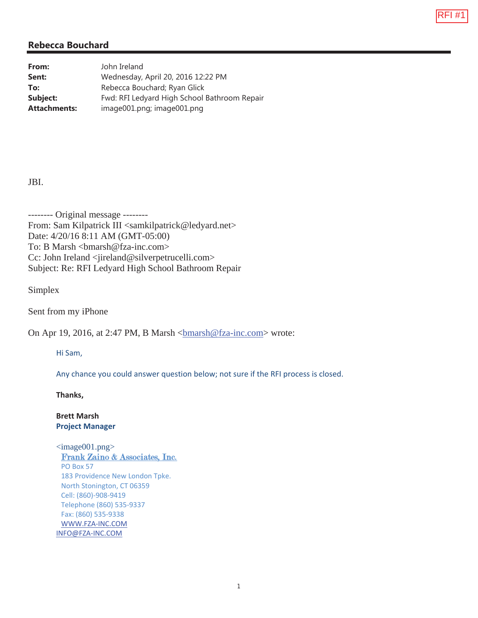

| From:               | John Ireland                                 |
|---------------------|----------------------------------------------|
| Sent:               | Wednesday, April 20, 2016 12:22 PM           |
| To:                 | Rebecca Bouchard; Ryan Glick                 |
| Subject:            | Fwd: RFI Ledyard High School Bathroom Repair |
| <b>Attachments:</b> | image001.png; image001.png                   |

#### JBI.

-------- Original message -------- From: Sam Kilpatrick III <samkilpatrick@ledyard.net> Date: 4/20/16 8:11 AM (GMT-05:00) To: B Marsh <br/>  $\langle \text{bmarsh} \, \textcircled{e}$  fza-inc.com> Cc: John Ireland <iireland@silverpetrucelli.com> Subject: Re: RFI Ledyard High School Bathroom Repair

Simplex

Sent from my iPhone

On Apr 19, 2016, at 2:47 PM, B Marsh <br/>  $\langle$ bmarsh@fza-inc.com> wrote:

Hi Sam,

Any chance you could answer question below; not sure if the RFI process is closed.

**Thanks,**

**Brett Marsh Project Manager**

 $\langle \text{image}001.\text{png} \rangle$ Frank Zaino & Associates, Inc. PO Box 57 183 Providence New London Tpke. North Stonington, CT 06359 Cell: (860)-908-9419 Telephone (860) 535-9337 Fax: (860) 535-9338 WWW.FZA-INC.COM INFO@FZA-INC.COM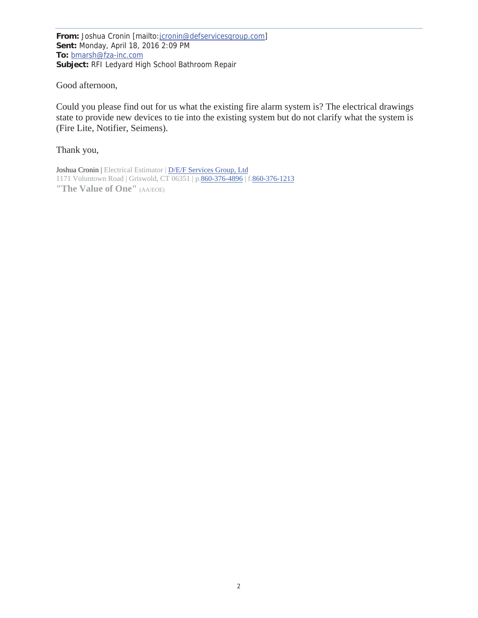**From:** Joshua Cronin [mailto:jcronin@defservicesgroup.com] **Sent:** Monday, April 18, 2016 2:09 PM **To:** bmarsh@fza-inc.com **Subject:** RFI Ledyard High School Bathroom Repair

Good afternoon,

Could you please find out for us what the existing fire alarm system is? The electrical drawings state to provide new devices to tie into the existing system but do not clarify what the system is (Fire Lite, Notifier, Seimens).

Thank you,

Joshua Cronin | Electrical Estimator | D/E/F Services Group, Ltd 1171 Voluntown Road | Griswold, CT 06351 | p.860-376-4896 | f.860-376-1213 **"The Value of One"** (AA/EOE)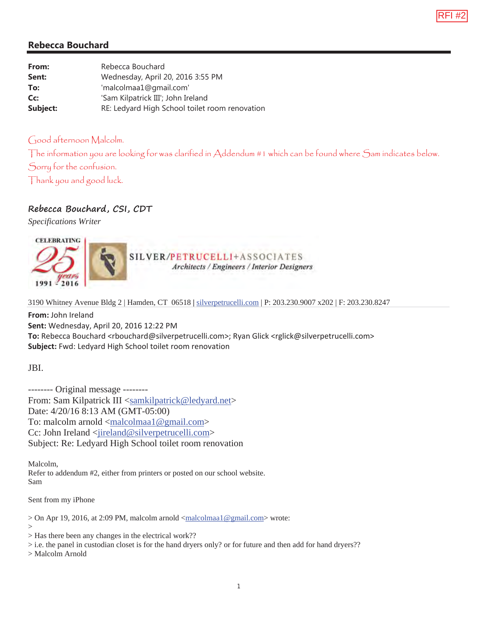

| From:    | Rebecca Bouchard                               |
|----------|------------------------------------------------|
| Sent:    | Wednesday, April 20, 2016 3:55 PM              |
| To:      | 'malcolmaa1@gmail.com'                         |
| Cc:      | 'Sam Kilpatrick III'; John Ireland             |
| Subject: | RE: Ledyard High School toilet room renovation |

#### Good afternoon Malcolm.

The information you are looking for was clarified in Addendum #1 which can be found where Sam indicates below. Sorry for the confusion. Thank you and good luck.

# **Rebecca Bouchard, CSI, CDT**

*Specifications Writer* 



SILVER/PETRUCELLI+ASSOCIATES Architects / Engineers / Interior Designers

3190 Whitney Avenue Bldg 2 | Hamden, CT 06518 **|** silverpetrucelli.com | P: 203.230.9007 x202 | F: 203.230.8247

**From:** John Ireland **Sent:** Wednesday, April 20, 2016 12:22 PM To: Rebecca Bouchard <rbouchard@silverpetrucelli.com>; Ryan Glick <rglick@silverpetrucelli.com> **Subject:** Fwd: Ledyard High School toilet room renovation

JBI.

-------- Original message -------- From: Sam Kilpatrick III <samkilpatrick@ledyard.net> Date: 4/20/16 8:13 AM (GMT-05:00) To: malcolm arnold <malcolmaa1@gmail.com> Cc: John Ireland <iireland@silverpetrucelli.com> Subject: Re: Ledyard High School toilet room renovation

Malcolm, Refer to addendum #2, either from printers or posted on our school website. Sam

Sent from my iPhone

> On Apr 19, 2016, at 2:09 PM, malcolm arnold <malcolmaa1@gmail.com> wrote: >

> Has there been any changes in the electrical work??

> i.e. the panel in custodian closet is for the hand dryers only? or for future and then add for hand dryers??

> Malcolm Arnold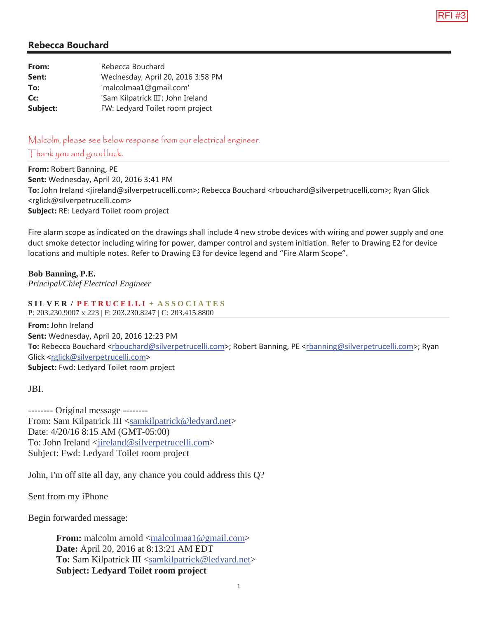

| Rebecca Bouchard                   |
|------------------------------------|
| Wednesday, April 20, 2016 3:58 PM  |
| 'malcolmaa1@gmail.com'             |
| 'Sam Kilpatrick III'; John Ireland |
| FW: Ledyard Toilet room project    |
|                                    |

Malcolm, please see below response from our electrical engineer. Thank you and good luck.

**From:** Robert Banning, PE **Sent:** Wednesday, April 20, 2016 3:41 PM **To:** John Ireland <jireland@silverpetrucelli.com>; Rebecca Bouchard <rbouchard@silverpetrucelli.com>; Ryan Glick <rglick@silverpetrucelli.com> **Subject:** RE: Ledyard Toilet room project

Fire alarm scope as indicated on the drawings shall include 4 new strobe devices with wiring and power supply and one duct smoke detector including wiring for power, damper control and system initiation. Refer to Drawing E2 for device locations and multiple notes. Refer to Drawing E3 for device legend and "Fire Alarm Scope".

#### **Bob Banning, P.E.**

*Principal/Chief Electrical Engineer* 

**S I L V E R / P E T R U C E L L I + A S S O C I A T E S** 

P: 203.230.9007 x 223 | F: 203.230.8247 | C: 203.415.8800

**From:** John Ireland **Sent:** Wednesday, April 20, 2016 12:23 PM To: Rebecca Bouchard <rbouchard@silverpetrucelli.com>; Robert Banning, PE <rbanning@silverpetrucelli.com>; Ryan Glick <rglick@silverpetrucelli.com> **Subject:** Fwd: Ledyard Toilet room project

JBI.

-------- Original message -------- From: Sam Kilpatrick III <samkilpatrick@ledyard.net> Date: 4/20/16 8:15 AM (GMT-05:00) To: John Ireland <iireland@silverpetrucelli.com> Subject: Fwd: Ledyard Toilet room project

John, I'm off site all day, any chance you could address this Q?

Sent from my iPhone

Begin forwarded message:

**From:** malcolm arnold <<u>malcolmaa1@gmail.com</u>> **Date:** April 20, 2016 at 8:13:21 AM EDT **To:** Sam Kilpatrick III <samkilpatrick@ledyard.net> **Subject: Ledyard Toilet room project**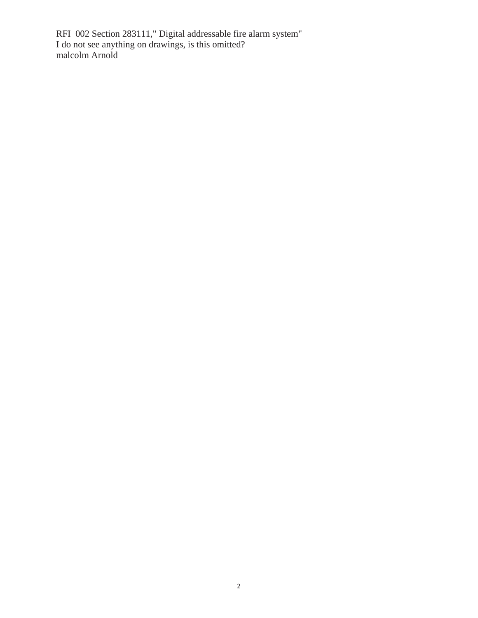RFI 002 Section 283111," Digital addressable fire alarm system" I do not see anything on drawings, is this omitted? malcolm Arnold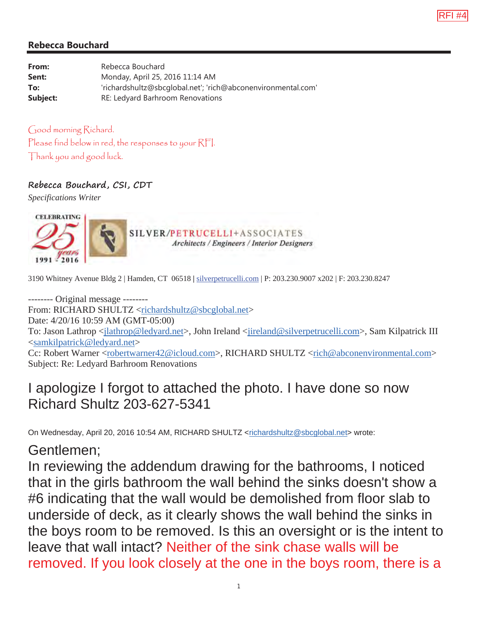

| From:    | Rebecca Bouchard                                             |
|----------|--------------------------------------------------------------|
| Sent:    | Monday, April 25, 2016 11:14 AM                              |
| To:      | 'richardshultz@sbcqlobal.net'; 'rich@abconenvironmental.com' |
| Subject: | RE: Ledyard Barhroom Renovations                             |

Good morning Richard. Please find below in red, the responses to your RFI. Thank you and good luck.

#### **Rebecca Bouchard, CSI, CDT**

*Specifications Writer* 



3190 Whitney Avenue Bldg 2 | Hamden, CT 06518 **|** silverpetrucelli.com | P: 203.230.9007 x202 | F: 203.230.8247

-------- Original message -------- From: RICHARD SHULTZ <richardshultz@sbcglobal.net> Date: 4/20/16 10:59 AM (GMT-05:00) To: Jason Lathrop <*jlathrop@ledyard.net>*, John Ireland <*jireland@silverpetrucelli.com>*, Sam Kilpatrick III <samkilpatrick@ledyard.net> Cc: Robert Warner <robertwarner42@icloud.com>, RICHARD SHULTZ <rich@abconenvironmental.com> Subject: Re: Ledyard Barhroom Renovations

# I apologize I forgot to attached the photo. I have done so now Richard Shultz 203-627-5341

On Wednesday, April 20, 2016 10:54 AM, RICHARD SHULTZ <richardshultz@sbcglobal.net> wrote:

# Gentlemen;

In reviewing the addendum drawing for the bathrooms, I noticed that in the girls bathroom the wall behind the sinks doesn't show a #6 indicating that the wall would be demolished from floor slab to underside of deck, as it clearly shows the wall behind the sinks in the boys room to be removed. Is this an oversight or is the intent to leave that wall intact? Neither of the sink chase walls will be removed. If you look closely at the one in the boys room, there is a